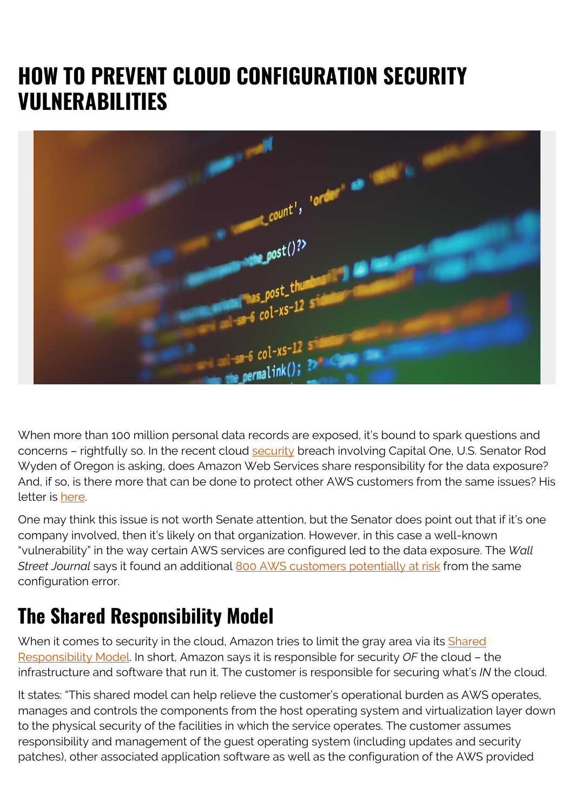# **HOW TO PREVENT CLOUD CONFIGURATION SECURITY VULNERABILITIES**



When more than 100 million personal data records are exposed, it's bound to spark questions and concerns - rightfully so. In the recent cloud **security** breach involving Capital One, U.S. Senator Rod Wyden of Oregon is asking, does Amazon Web Services share responsibility for the data exposure? And, if so, is there more that can be done to protect other AWS customers from the same issues? His letter is [here](https://www.wyden.senate.gov/imo/media/doc/Wyden Rubio Letter to Amazon + Alphabet re Domain Fronting Ban.pdf).

One may think this issue is not worth Senate attention, but the Senator does point out that if it's one company involved, then it's likely on that organization. However, in this case a well-known "vulnerability" in the way certain AWS services are configured led to the data exposure. The *Wall Street Journal* says it found an additional [800 AWS customers potentially at risk](https://www.wsj.com/articles/u-s-senator-sends-letter-to-amazon-ceo-on-capital-one-hack-11565036507?shareToken=stddc24cbef92e4c2595362a46a24b7ec0) from the same configuration error.

## **The Shared Responsibility Model**

When it comes to security in the cloud, Amazon tries to limit the gray area via its [Shared](https://aws.amazon.com/compliance/shared-responsibility-model/) [Responsibility Model](https://aws.amazon.com/compliance/shared-responsibility-model/). In short, Amazon says it is responsible for security *OF* the cloud – the infrastructure and software that run it. The customer is responsible for securing what's *IN* the cloud.

It states: "This shared model can help relieve the customer's operational burden as AWS operates, manages and controls the components from the host operating system and virtualization layer down to the physical security of the facilities in which the service operates. The customer assumes responsibility and management of the guest operating system (including updates and security patches), other associated application software as well as the configuration of the AWS provided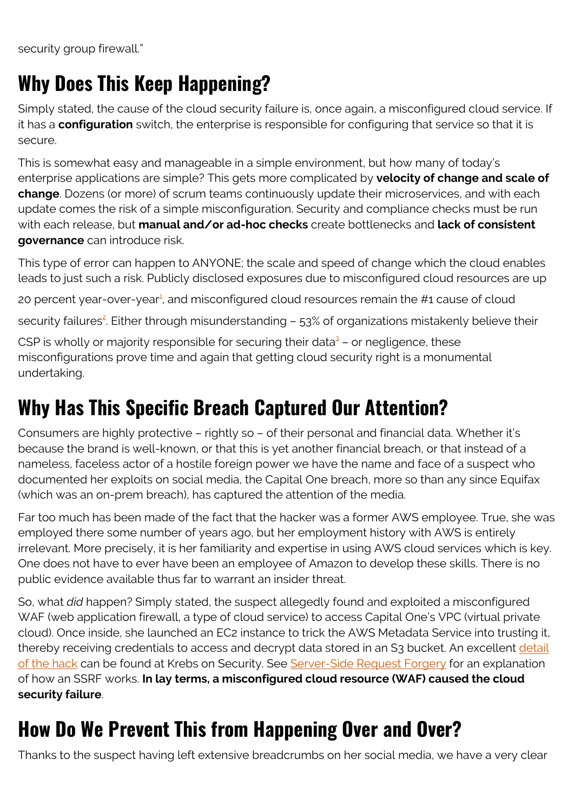security group firewall."

### **Why Does This Keep Happening?**

Simply stated, the cause of the cloud security failure is, once again, a misconfigured cloud service. If it has a **configuration** switch, the enterprise is responsible for configuring that service so that it is secure.

This is somewhat easy and manageable in a simple environment, but how many of today's enterprise applications are simple? This gets more complicated by **velocity of change and scale of change**. Dozens (or more) of scrum teams continuously update their microservices, and with each update comes the risk of a simple misconfiguration. Security and compliance checks must be run with each release, but **manual and/or ad-hoc checks** create bottlenecks and **lack of consistent governance** can introduce risk.

This type of error can happen to ANYONE; the scale and speed of change which the cloud enables leads to just such a risk. Publicly disclosed exposures due to misconfigured cloud resources are up

20 percent year-over-year<sup>[1](#page--1-0)</sup>, and misconfigured cloud resources remain the #1 cause of cloud

security failures<sup>[2](#page--1-0)</sup>. Either through misunderstanding – 53% of organizations mistakenly believe their

CSP is wholly or majority responsible for securing their data<sup>[3](#page--1-0)</sup> - or negligence, these misconfigurations prove time and again that getting cloud security right is a monumental undertaking.

## **Why Has This Specific Breach Captured Our Attention?**

Consumers are highly protective – rightly so – of their personal and financial data. Whether it's because the brand is well-known, or that this is yet another financial breach, or that instead of a nameless, faceless actor of a hostile foreign power we have the name and face of a suspect who documented her exploits on social media, the Capital One breach, more so than any since Equifax (which was an on-prem breach), has captured the attention of the media.

Far too much has been made of the fact that the hacker was a former AWS employee. True, she was employed there some number of years ago, but her employment history with AWS is entirely irrelevant. More precisely, it is her familiarity and expertise in using AWS cloud services which is key. One does not have to ever have been an employee of Amazon to develop these skills. There is no public evidence available thus far to warrant an insider threat.

So, what *did* happen? Simply stated, the suspect allegedly found and exploited a misconfigured WAF (web application firewall, a type of cloud service) to access Capital One's VPC (virtual private cloud). Once inside, she launched an EC2 instance to trick the AWS Metadata Service into trusting it, thereby receiving credentials to access and decrypt data stored in an S3 bucket. An excellent [detail](https://krebsonsecurity.com/2019/07/capital-one-data-theft-impacts-106m-people/) [of the hack](https://krebsonsecurity.com/2019/07/capital-one-data-theft-impacts-106m-people/) can be found at Krebs on Security. See [Server-Side Request Forgery](https://www.hackerone.com/blog-How-To-Server-Side-Request-Forgery-SSRF) for an explanation of how an SSRF works. **In lay terms, a misconfigured cloud resource (WAF) caused the cloud security failure**.

# **How Do We Prevent This from Happening Over and Over?**

Thanks to the suspect having left extensive breadcrumbs on her social media, we have a very clear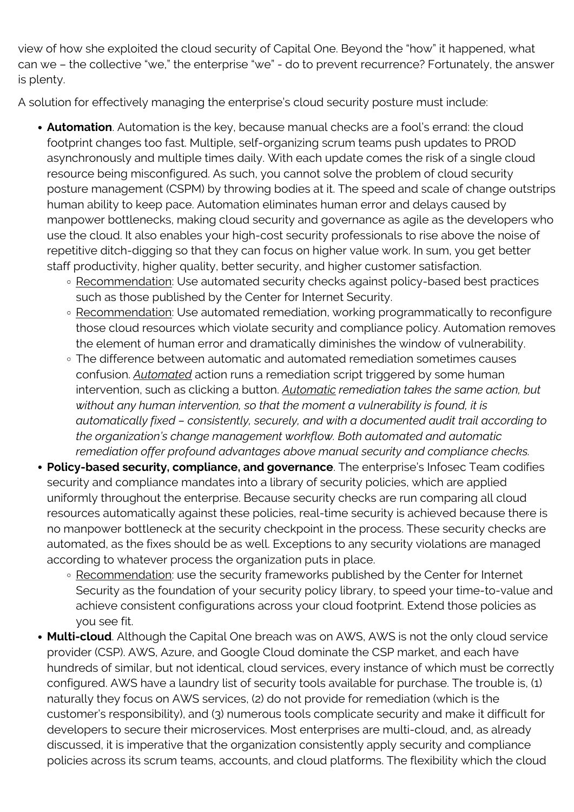view of how she exploited the cloud security of Capital One. Beyond the "how" it happened, what can we – the collective "we," the enterprise "we" - do to prevent recurrence? Fortunately, the answer is plenty.

A solution for effectively managing the enterprise's cloud security posture must include:

- **Automation**. Automation is the key, because manual checks are a fool's errand: the cloud footprint changes too fast. Multiple, self-organizing scrum teams push updates to PROD asynchronously and multiple times daily. With each update comes the risk of a single cloud resource being misconfigured. As such, you cannot solve the problem of cloud security posture management (CSPM) by throwing bodies at it. The speed and scale of change outstrips human ability to keep pace. Automation eliminates human error and delays caused by manpower bottlenecks, making cloud security and governance as agile as the developers who use the cloud. It also enables your high-cost security professionals to rise above the noise of repetitive ditch-digging so that they can focus on higher value work. In sum, you get better staff productivity, higher quality, better security, and higher customer satisfaction.
	- Recommendation: Use automated security checks against policy-based best practices such as those published by the Center for Internet Security.
	- Recommendation: Use automated remediation, working programmatically to reconfigure those cloud resources which violate security and compliance policy. Automation removes the element of human error and dramatically diminishes the window of vulnerability.
	- The difference between automatic and automated remediation sometimes causes confusion. *Automated* action runs a remediation script triggered by some human intervention, such as clicking a button. *Automatic remediation takes the same action, but without any human intervention, so that the moment a vulnerability is found, it is automatically fixed – consistently, securely, and with a documented audit trail according to the organization's change management workflow. Both automated and automatic remediation offer profound advantages above manual security and compliance checks.*
- **Policy-based security, compliance, and governance**. The enterprise's Infosec Team codifies security and compliance mandates into a library of security policies, which are applied uniformly throughout the enterprise. Because security checks are run comparing all cloud resources automatically against these policies, real-time security is achieved because there is no manpower bottleneck at the security checkpoint in the process. These security checks are automated, as the fixes should be as well. Exceptions to any security violations are managed according to whatever process the organization puts in place.
	- Recommendation: use the security frameworks published by the Center for Internet Security as the foundation of your security policy library, to speed your time-to-value and achieve consistent configurations across your cloud footprint. Extend those policies as you see fit.
- **Multi-cloud**. Although the Capital One breach was on AWS, AWS is not the only cloud service provider (CSP). AWS, Azure, and Google Cloud dominate the CSP market, and each have hundreds of similar, but not identical, cloud services, every instance of which must be correctly configured. AWS have a laundry list of security tools available for purchase. The trouble is, (1) naturally they focus on AWS services, (2) do not provide for remediation (which is the customer's responsibility), and (3) numerous tools complicate security and make it difficult for developers to secure their microservices. Most enterprises are multi-cloud, and, as already discussed, it is imperative that the organization consistently apply security and compliance policies across its scrum teams, accounts, and cloud platforms. The flexibility which the cloud